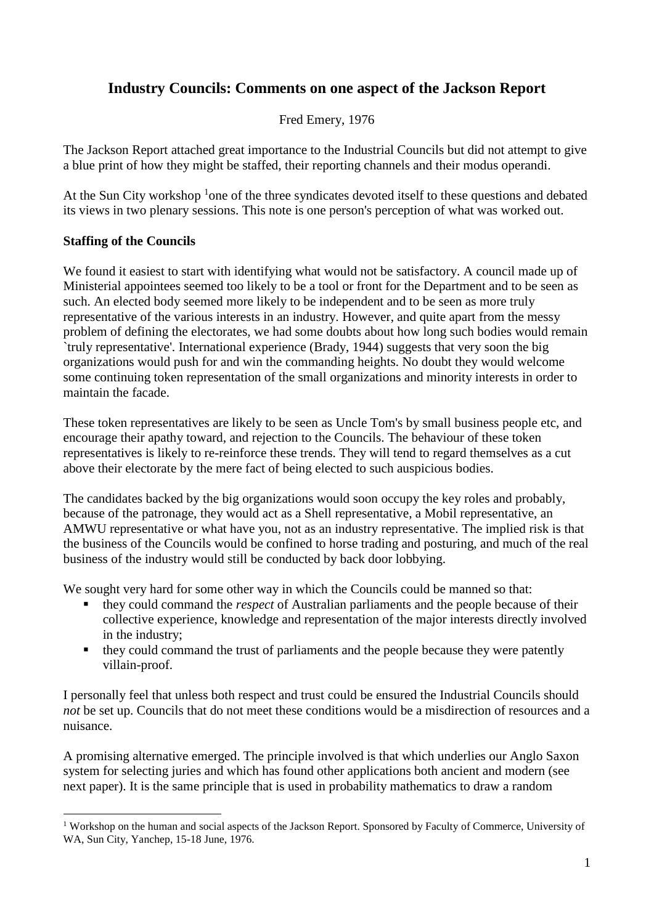# **Industry Councils: Comments on one aspect of the Jackson Report**

#### Fred Emery, 1976

The Jackson Report attached great importance to the Industrial Councils but did not attempt to give a blue print of how they might be staffed, their reporting channels and their modus operandi.

At the Sun City workshop <sup>1</sup>one of the three syndicates devoted itself to these questions and debated its views in two plenary sessions. This note is one person's perception of what was worked out.

### **Staffing of the Councils**

We found it easiest to start with identifying what would not be satisfactory. A council made up of Ministerial appointees seemed too likely to be a tool or front for the Department and to be seen as such. An elected body seemed more likely to be independent and to be seen as more truly representative of the various interests in an industry. However, and quite apart from the messy problem of defining the electorates, we had some doubts about how long such bodies would remain `truly representative'. International experience (Brady, 1944) suggests that very soon the big organizations would push for and win the commanding heights. No doubt they would welcome some continuing token representation of the small organizations and minority interests in order to maintain the facade.

These token representatives are likely to be seen as Uncle Tom's by small business people etc, and encourage their apathy toward, and rejection to the Councils. The behaviour of these token representatives is likely to re-reinforce these trends. They will tend to regard themselves as a cut above their electorate by the mere fact of being elected to such auspicious bodies.

The candidates backed by the big organizations would soon occupy the key roles and probably, because of the patronage, they would act as a Shell representative, a Mobil representative, an AMWU representative or what have you, not as an industry representative. The implied risk is that the business of the Councils would be confined to horse trading and posturing, and much of the real business of the industry would still be conducted by back door lobbying.

We sought very hard for some other way in which the Councils could be manned so that:

- they could command the *respect* of Australian parliaments and the people because of their collective experience, knowledge and representation of the major interests directly involved in the industry;
- they could command the trust of parliaments and the people because they were patently villain-proof.

I personally feel that unless both respect and trust could be ensured the Industrial Councils should *not* be set up. Councils that do not meet these conditions would be a misdirection of resources and a nuisance.

A promising alternative emerged. The principle involved is that which underlies our Anglo Saxon system for selecting juries and which has found other applications both ancient and modern (see next paper). It is the same principle that is used in probability mathematics to draw a random

<sup>&</sup>lt;sup>1</sup> Workshop on the human and social aspects of the Jackson Report. Sponsored by Faculty of Commerce, University of WA, Sun City, Yanchep, 15-18 June, 1976.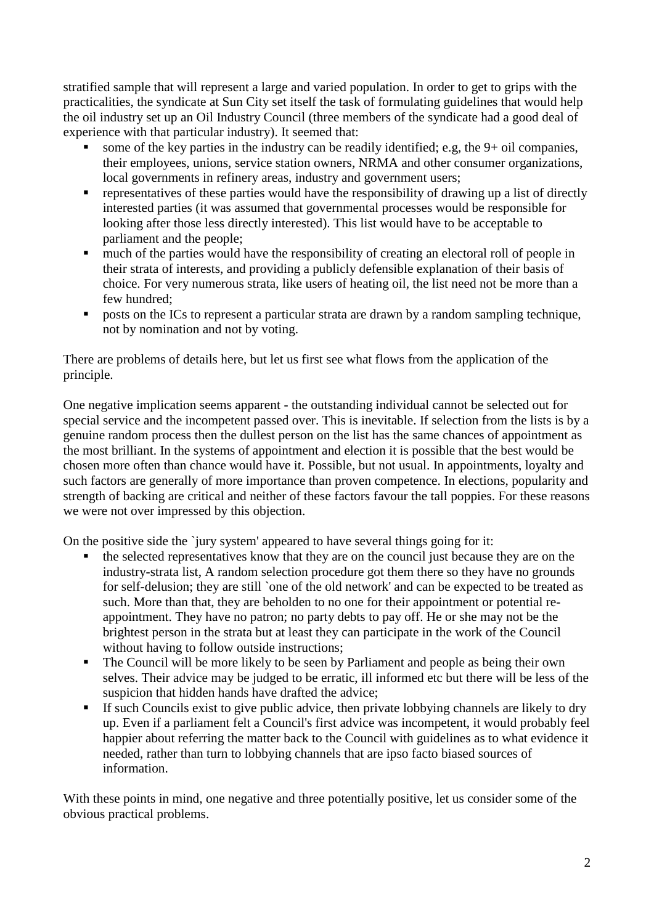stratified sample that will represent a large and varied population. In order to get to grips with the practicalities, the syndicate at Sun City set itself the task of formulating guidelines that would help the oil industry set up an Oil Industry Council (three members of the syndicate had a good deal of experience with that particular industry). It seemed that:

- some of the key parties in the industry can be readily identified; e.g, the  $9+$  oil companies, their employees, unions, service station owners, NRMA and other consumer organizations, local governments in refinery areas, industry and government users;
- **•** representatives of these parties would have the responsibility of drawing up a list of directly interested parties (it was assumed that governmental processes would be responsible for looking after those less directly interested). This list would have to be acceptable to parliament and the people;
- much of the parties would have the responsibility of creating an electoral roll of people in their strata of interests, and providing a publicly defensible explanation of their basis of choice. For very numerous strata, like users of heating oil, the list need not be more than a few hundred;
- **•** posts on the ICs to represent a particular strata are drawn by a random sampling technique, not by nomination and not by voting.

There are problems of details here, but let us first see what flows from the application of the principle.

One negative implication seems apparent - the outstanding individual cannot be selected out for special service and the incompetent passed over. This is inevitable. If selection from the lists is by a genuine random process then the dullest person on the list has the same chances of appointment as the most brilliant. In the systems of appointment and election it is possible that the best would be chosen more often than chance would have it. Possible, but not usual. In appointments, loyalty and such factors are generally of more importance than proven competence. In elections, popularity and strength of backing are critical and neither of these factors favour the tall poppies. For these reasons we were not over impressed by this objection.

On the positive side the `jury system' appeared to have several things going for it:

- the selected representatives know that they are on the council just because they are on the industry-strata list, A random selection procedure got them there so they have no grounds for self-delusion; they are still `one of the old network' and can be expected to be treated as such. More than that, they are beholden to no one for their appointment or potential reappointment. They have no patron; no party debts to pay off. He or she may not be the brightest person in the strata but at least they can participate in the work of the Council without having to follow outside instructions;
- The Council will be more likely to be seen by Parliament and people as being their own selves. Their advice may be judged to be erratic, ill informed etc but there will be less of the suspicion that hidden hands have drafted the advice;
- **EXECUTE:** If such Councils exist to give public advice, then private lobbying channels are likely to dry up. Even if a parliament felt a Council's first advice was incompetent, it would probably feel happier about referring the matter back to the Council with guidelines as to what evidence it needed, rather than turn to lobbying channels that are ipso facto biased sources of information.

With these points in mind, one negative and three potentially positive, let us consider some of the obvious practical problems.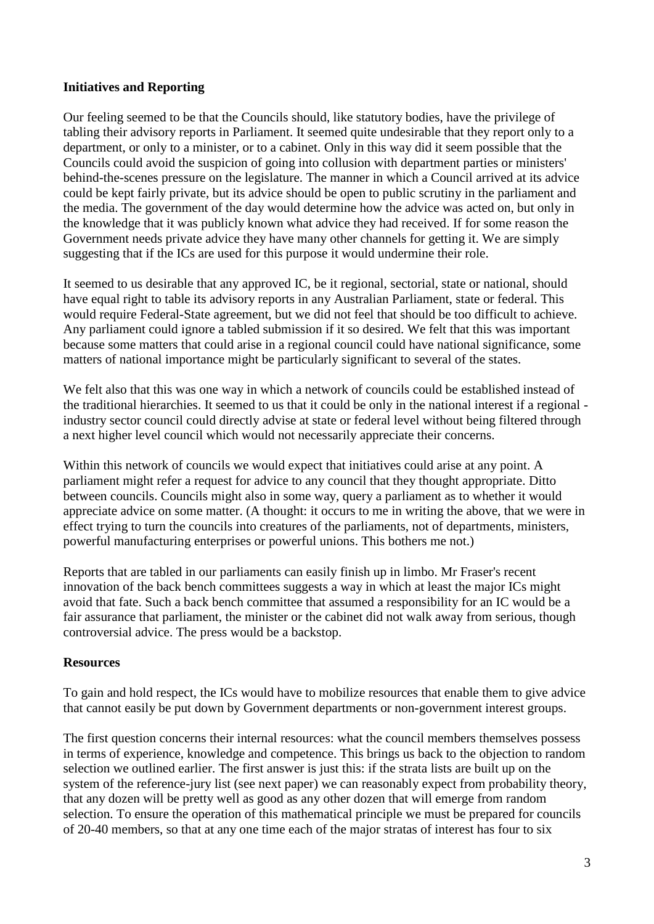#### **Initiatives and Reporting**

Our feeling seemed to be that the Councils should, like statutory bodies, have the privilege of tabling their advisory reports in Parliament. It seemed quite undesirable that they report only to a department, or only to a minister, or to a cabinet. Only in this way did it seem possible that the Councils could avoid the suspicion of going into collusion with department parties or ministers' behind-the-scenes pressure on the legislature. The manner in which a Council arrived at its advice could be kept fairly private, but its advice should be open to public scrutiny in the parliament and the media. The government of the day would determine how the advice was acted on, but only in the knowledge that it was publicly known what advice they had received. If for some reason the Government needs private advice they have many other channels for getting it. We are simply suggesting that if the ICs are used for this purpose it would undermine their role.

It seemed to us desirable that any approved IC, be it regional, sectorial, state or national, should have equal right to table its advisory reports in any Australian Parliament, state or federal. This would require Federal-State agreement, but we did not feel that should be too difficult to achieve. Any parliament could ignore a tabled submission if it so desired. We felt that this was important because some matters that could arise in a regional council could have national significance, some matters of national importance might be particularly significant to several of the states.

We felt also that this was one way in which a network of councils could be established instead of the traditional hierarchies. It seemed to us that it could be only in the national interest if a regional industry sector council could directly advise at state or federal level without being filtered through a next higher level council which would not necessarily appreciate their concerns.

Within this network of councils we would expect that initiatives could arise at any point. A parliament might refer a request for advice to any council that they thought appropriate. Ditto between councils. Councils might also in some way, query a parliament as to whether it would appreciate advice on some matter. (A thought: it occurs to me in writing the above, that we were in effect trying to turn the councils into creatures of the parliaments, not of departments, ministers, powerful manufacturing enterprises or powerful unions. This bothers me not.)

Reports that are tabled in our parliaments can easily finish up in limbo. Mr Fraser's recent innovation of the back bench committees suggests a way in which at least the major ICs might avoid that fate. Such a back bench committee that assumed a responsibility for an IC would be a fair assurance that parliament, the minister or the cabinet did not walk away from serious, though controversial advice. The press would be a backstop.

### **Resources**

To gain and hold respect, the ICs would have to mobilize resources that enable them to give advice that cannot easily be put down by Government departments or non-government interest groups.

The first question concerns their internal resources: what the council members themselves possess in terms of experience, knowledge and competence. This brings us back to the objection to random selection we outlined earlier. The first answer is just this: if the strata lists are built up on the system of the reference-jury list (see next paper) we can reasonably expect from probability theory, that any dozen will be pretty well as good as any other dozen that will emerge from random selection. To ensure the operation of this mathematical principle we must be prepared for councils of 20-40 members, so that at any one time each of the major stratas of interest has four to six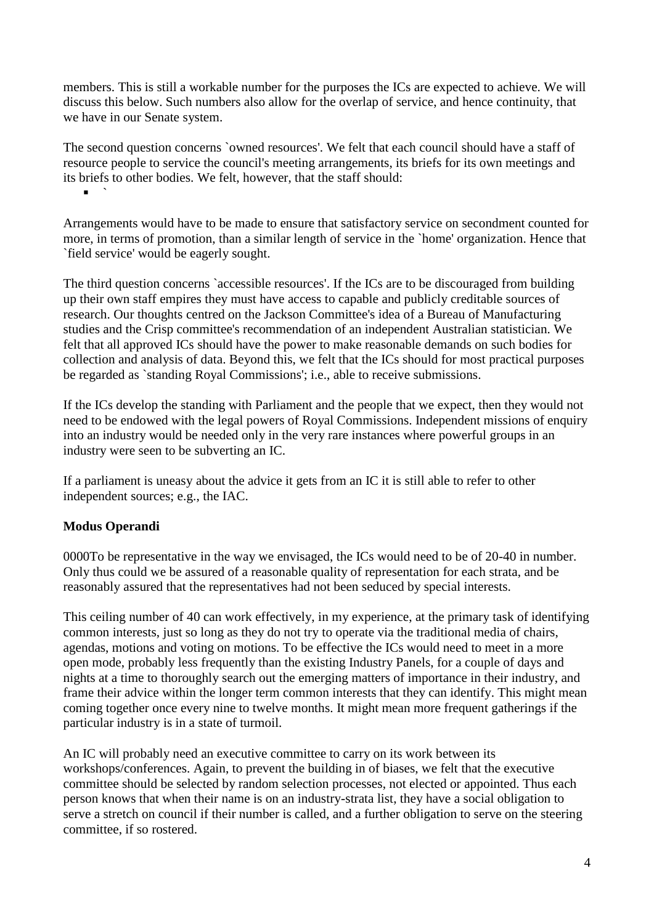members. This is still a workable number for the purposes the ICs are expected to achieve. We will discuss this below. Such numbers also allow for the overlap of service, and hence continuity, that we have in our Senate system.

The second question concerns `owned resources'. We felt that each council should have a staff of resource people to service the council's meeting arrangements, its briefs for its own meetings and its briefs to other bodies. We felt, however, that the staff should: ▪ `

Arrangements would have to be made to ensure that satisfactory service on secondment counted for more, in terms of promotion, than a similar length of service in the `home' organization. Hence that `field service' would be eagerly sought.

The third question concerns `accessible resources'. If the ICs are to be discouraged from building up their own staff empires they must have access to capable and publicly creditable sources of research. Our thoughts centred on the Jackson Committee's idea of a Bureau of Manufacturing studies and the Crisp committee's recommendation of an independent Australian statistician. We felt that all approved ICs should have the power to make reasonable demands on such bodies for collection and analysis of data. Beyond this, we felt that the ICs should for most practical purposes be regarded as `standing Royal Commissions'; i.e., able to receive submissions.

If the ICs develop the standing with Parliament and the people that we expect, then they would not need to be endowed with the legal powers of Royal Commissions. Independent missions of enquiry into an industry would be needed only in the very rare instances where powerful groups in an industry were seen to be subverting an IC.

If a parliament is uneasy about the advice it gets from an IC it is still able to refer to other independent sources; e.g., the IAC.

### **Modus Operandi**

0000To be representative in the way we envisaged, the ICs would need to be of 20-40 in number. Only thus could we be assured of a reasonable quality of representation for each strata, and be reasonably assured that the representatives had not been seduced by special interests.

This ceiling number of 40 can work effectively, in my experience, at the primary task of identifying common interests, just so long as they do not try to operate via the traditional media of chairs, agendas, motions and voting on motions. To be effective the ICs would need to meet in a more open mode, probably less frequently than the existing Industry Panels, for a couple of days and nights at a time to thoroughly search out the emerging matters of importance in their industry, and frame their advice within the longer term common interests that they can identify. This might mean coming together once every nine to twelve months. It might mean more frequent gatherings if the particular industry is in a state of turmoil.

An IC will probably need an executive committee to carry on its work between its workshops/conferences. Again, to prevent the building in of biases, we felt that the executive committee should be selected by random selection processes, not elected or appointed. Thus each person knows that when their name is on an industry-strata list, they have a social obligation to serve a stretch on council if their number is called, and a further obligation to serve on the steering committee, if so rostered.